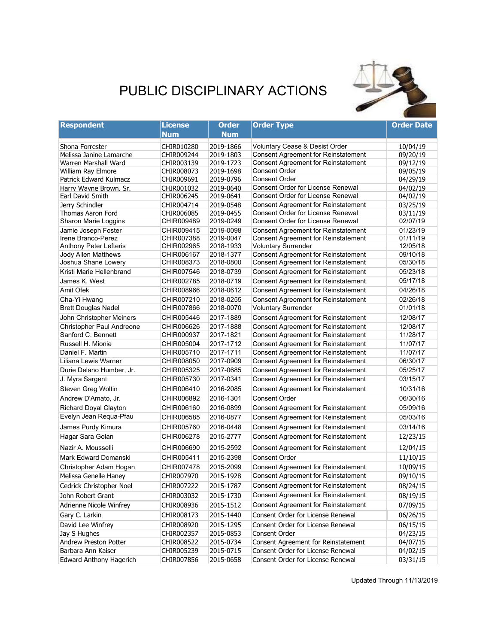## PUBLIC DISCIPLINARY ACTIONS



| <b>Respondent</b>                               | <b>License</b>           | <b>Order</b>           | <b>Order Type</b>                                                                        | <b>Order Date</b>    |
|-------------------------------------------------|--------------------------|------------------------|------------------------------------------------------------------------------------------|----------------------|
|                                                 | Num                      | <b>Num</b>             |                                                                                          |                      |
| Shona Forrester                                 | CHIR010280               | 2019-1866              | Voluntary Cease & Desist Order                                                           | 10/04/19             |
| Melissa Janine Lamarche                         | CHIR009244               | 2019-1803              | <b>Consent Agreement for Reinstatement</b>                                               | 09/20/19             |
| Warren Marshall Ward                            | CHIR003139               | 2019-1723              | <b>Consent Agreement for Reinstatement</b>                                               | 09/12/19             |
| William Ray Elmore                              | CHIR008073               | 2019-1698              | <b>Consent Order</b>                                                                     | 09/05/19             |
| Patrick Edward Kulmacz                          | CHIR009691               | 2019-0796              | <b>Consent Order</b>                                                                     | 04/29/19             |
| Harry Wayne Brown, Sr.                          | CHIR001032               | 2019-0640              | <b>Consent Order for License Renewal</b>                                                 | 04/02/19             |
| Earl David Smith                                | CHIR006245               | 2019-0641              | <b>Consent Order for License Renewal</b>                                                 | 04/02/19             |
| Jerry Schindler                                 | CHIR004714               | 2019-0548              | <b>Consent Agreement for Reinstatement</b><br><b>Consent Order for License Renewal</b>   | 03/25/19             |
| Thomas Aaron Ford                               | CHIR006085<br>CHIR009489 | 2019-0455<br>2019-0249 | <b>Consent Order for License Renewal</b>                                                 | 03/11/19<br>02/07/19 |
| Sharon Marie Loggins                            |                          |                        |                                                                                          |                      |
| Jamie Joseph Foster<br>Irene Branco-Perez       | CHIR009415<br>CHIR007388 | 2019-0098<br>2019-0047 | <b>Consent Agreement for Reinstatement</b><br><b>Consent Agreement for Reinstatement</b> | 01/23/19<br>01/11/19 |
| Anthony Peter Lefteris                          | CHIR002965               | 2018-1933              | <b>Voluntary Surrender</b>                                                               | 12/05/18             |
| <b>Jody Allen Matthews</b>                      | CHIR006167               | 2018-1377              | <b>Consent Agreement for Reinstatement</b>                                               | 09/10/18             |
| Joshua Shane Lowery                             | CHIR008373               | 2018-0800              | <b>Consent Agreement for Reinstatement</b>                                               | 05/30/18             |
| Kristi Marie Hellenbrand                        | CHIR007546               | 2018-0739              | <b>Consent Agreement for Reinstatement</b>                                               | 05/23/18             |
| James K. West                                   | CHIR002785               | 2018-0719              | <b>Consent Agreement for Reinstatement</b>                                               | 05/17/18             |
| Amit Ofek                                       | CHIR008966               | 2018-0612              | <b>Consent Agreement for Reinstatement</b>                                               | 04/26/18             |
|                                                 |                          |                        |                                                                                          |                      |
| Cha-Yi Hwang<br><b>Brett Douglas Nadel</b>      | CHIR007210<br>CHIR007866 | 2018-0255<br>2018-0070 | <b>Consent Agreement for Reinstatement</b>                                               | 02/26/18<br>01/01/18 |
|                                                 |                          |                        | <b>Voluntary Surrender</b>                                                               |                      |
| John Christopher Meiners                        | CHIR005446               | 2017-1889              | <b>Consent Agreement for Reinstatement</b>                                               | 12/08/17             |
| Christopher Paul Andreone<br>Sanford C. Bennett | CHIR006626               | 2017-1888              | <b>Consent Agreement for Reinstatement</b>                                               | 12/08/17             |
|                                                 | CHIR000937               | 2017-1821              | <b>Consent Agreement for Reinstatement</b>                                               | 11/28/17             |
| Russell H. Mionie                               | CHIR005004               | 2017-1712              | <b>Consent Agreement for Reinstatement</b>                                               | 11/07/17             |
| Daniel F. Martin                                | CHIR005710               | 2017-1711              | <b>Consent Agreement for Reinstatement</b>                                               | 11/07/17             |
| Liliana Lewis Warner                            | CHIR008050               | 2017-0909              | <b>Consent Agreement for Reinstatement</b>                                               | 06/30/17             |
| Durie Delano Humber, Jr.                        | CHIR005325               | 2017-0685              | <b>Consent Agreement for Reinstatement</b>                                               | 05/25/17             |
| J. Myra Sargent                                 | CHIR005730               | 2017-0341              | <b>Consent Agreement for Reinstatement</b>                                               | 03/15/17             |
| Steven Greg Woltin                              | CHIR006410               | 2016-2085              | <b>Consent Agreement for Reinstatement</b>                                               | 10/31/16             |
| Andrew D'Amato, Jr.                             | CHIR006892               | 2016-1301              | <b>Consent Order</b>                                                                     | 06/30/16             |
| <b>Richard Doyal Clayton</b>                    | CHIR006160               | 2016-0899              | <b>Consent Agreement for Reinstatement</b>                                               | 05/09/16             |
| Evelyn Jean Requa-Pfau                          | CHIR006585               | 2016-0877              | <b>Consent Agreement for Reinstatement</b>                                               | 05/03/16             |
| James Purdy Kimura                              | CHIR005760               | 2016-0448              | <b>Consent Agreement for Reinstatement</b>                                               | 03/14/16             |
| Hagar Sara Golan                                | CHIR006278               | 2015-2777              | <b>Consent Agreement for Reinstatement</b>                                               | 12/23/15             |
| Nazir A. Mousselli                              | CHIR006690               | 2015-2592              | <b>Consent Agreement for Reinstatement</b>                                               | 12/04/15             |
| Mark Edward Domanski                            | CHIR005411               | 2015-2398              | Consent Order                                                                            | 11/10/15             |
| Christopher Adam Hogan                          | CHIR007478               | 2015-2099              | <b>Consent Agreement for Reinstatement</b>                                               | 10/09/15             |
| Melissa Genelle Haney                           | CHIR007970               | 2015-1928              | <b>Consent Agreement for Reinstatement</b>                                               | 09/10/15             |
| Cedrick Christopher Noel                        | CHIR007222               | 2015-1787              | <b>Consent Agreement for Reinstatement</b>                                               | 08/24/15             |
| John Robert Grant                               | CHIR003032               | 2015-1730              | <b>Consent Agreement for Reinstatement</b>                                               | 08/19/15             |
| Adrienne Nicole Winfrey                         | CHIR008936               | 2015-1512              | <b>Consent Agreement for Reinstatement</b>                                               | 07/09/15             |
| Gary C. Larkin                                  | CHIR008173               | 2015-1440              | Consent Order for License Renewal                                                        | 06/26/15             |
| David Lee Winfrey                               | CHIR008920               | 2015-1295              | Consent Order for License Renewal                                                        | 06/15/15             |
| Jay S Hughes                                    | CHIR002357               | 2015-0853              | Consent Order                                                                            | 04/23/15             |
| Andrew Preston Potter                           | CHIR008522               | 2015-0734              | Consent Agreement for Reinstatement                                                      | 04/07/15             |
| Barbara Ann Kaiser                              | CHIR005239               | 2015-0715              | Consent Order for License Renewal                                                        | 04/02/15             |
| <b>Edward Anthony Hagerich</b>                  | CHIR007856               | 2015-0658              | Consent Order for License Renewal                                                        | 03/31/15             |